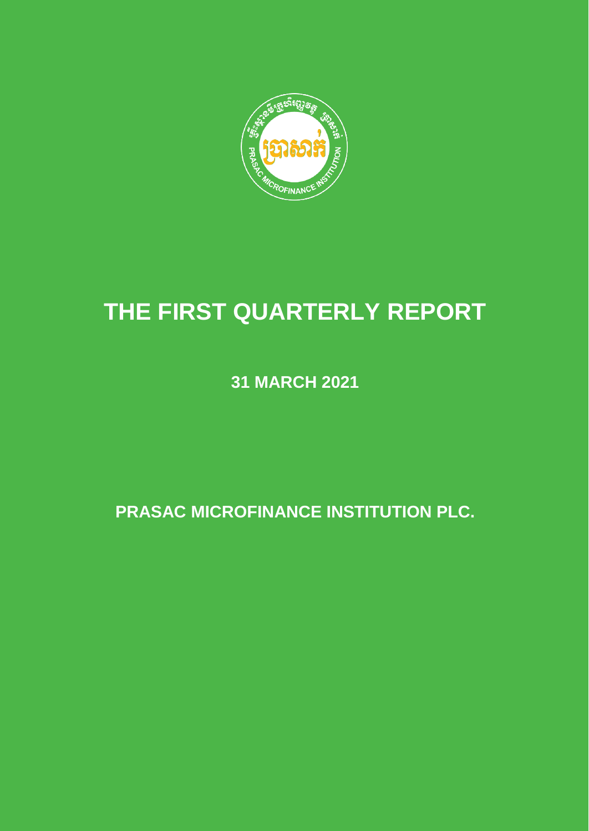

# **THE FIRST QUARTERLY REPORT**

**31 MARCH 2021**

**PRASAC MICROFINANCE INSTITUTION PLC.**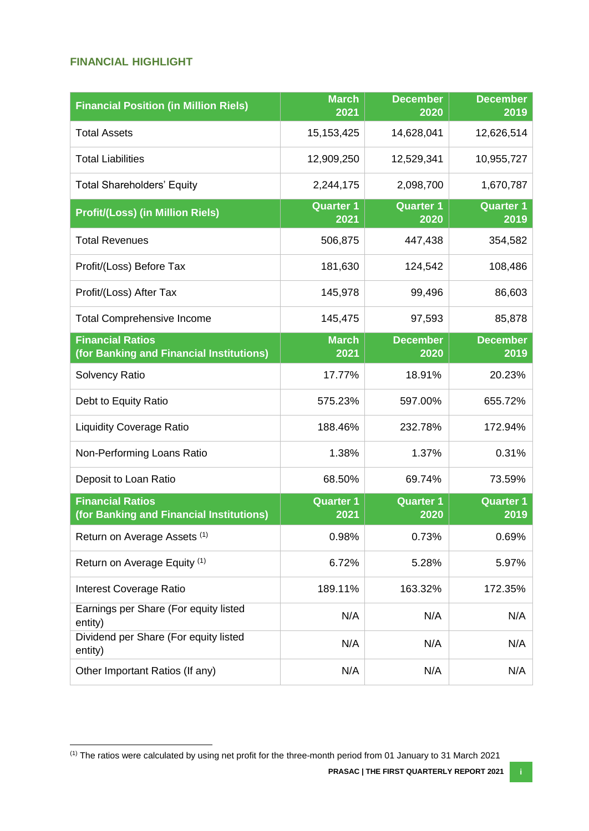### <span id="page-1-0"></span>**FINANCIAL HIGHLIGHT**

 $\overline{\phantom{a}}$ 

| <b>Financial Position (in Million Riels)</b>                        | <b>March</b><br>2021     | <b>December</b><br>2020  | <b>December</b><br>2019  |
|---------------------------------------------------------------------|--------------------------|--------------------------|--------------------------|
| <b>Total Assets</b>                                                 | 15, 153, 425             | 14,628,041               | 12,626,514               |
| <b>Total Liabilities</b>                                            | 12,909,250               | 12,529,341               | 10,955,727               |
| <b>Total Shareholders' Equity</b>                                   | 2,244,175                | 2,098,700                | 1,670,787                |
| <b>Profit/(Loss) (in Million Riels)</b>                             | <b>Quarter 1</b><br>2021 | <b>Quarter 1</b><br>2020 | <b>Quarter 1</b><br>2019 |
| <b>Total Revenues</b>                                               | 506,875                  | 447,438                  | 354,582                  |
| Profit/(Loss) Before Tax                                            | 181,630                  | 124,542                  | 108,486                  |
| Profit/(Loss) After Tax                                             | 145,978                  | 99,496                   | 86,603                   |
| <b>Total Comprehensive Income</b>                                   | 145,475                  | 97,593                   | 85,878                   |
| <b>Financial Ratios</b><br>(for Banking and Financial Institutions) | <b>March</b><br>2021     | <b>December</b><br>2020  | <b>December</b><br>2019  |
| <b>Solvency Ratio</b>                                               | 17.77%                   | 18.91%                   | 20.23%                   |
| Debt to Equity Ratio                                                | 575.23%                  | 597.00%                  | 655.72%                  |
| <b>Liquidity Coverage Ratio</b>                                     | 188.46%                  | 232.78%                  | 172.94%                  |
| Non-Performing Loans Ratio                                          | 1.38%                    | 1.37%                    | 0.31%                    |
| Deposit to Loan Ratio                                               | 68.50%                   | 69.74%                   | 73.59%                   |
| <b>Financial Ratios</b><br>(for Banking and Financial Institutions) | <b>Quarter 1</b><br>2021 | <b>Quarter 1</b><br>2020 | <b>Quarter 1</b><br>2019 |
| Return on Average Assets (1)                                        | 0.98%                    | 0.73%                    | 0.69%                    |
| Return on Average Equity (1)                                        | 6.72%                    | 5.28%                    | 5.97%                    |
| Interest Coverage Ratio                                             | 189.11%                  | 163.32%                  | 172.35%                  |
| Earnings per Share (For equity listed<br>entity)                    | N/A                      | N/A                      | N/A                      |
| Dividend per Share (For equity listed<br>entity)                    | N/A                      | N/A                      | N/A                      |
| Other Important Ratios (If any)                                     | N/A                      | N/A                      | N/A                      |

 $(1)$  The ratios were calculated by using net profit for the three-month period from 01 January to 31 March 2021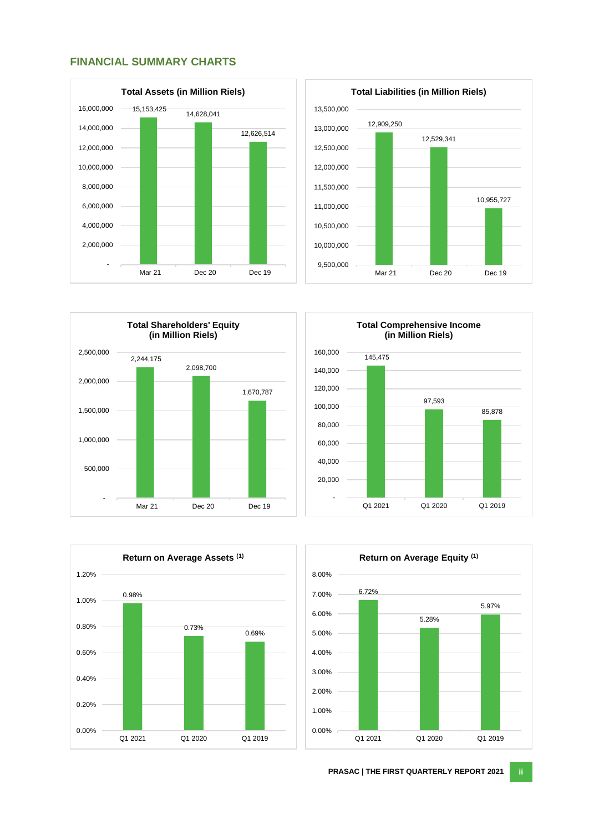<span id="page-2-0"></span>









<span id="page-2-1"></span>

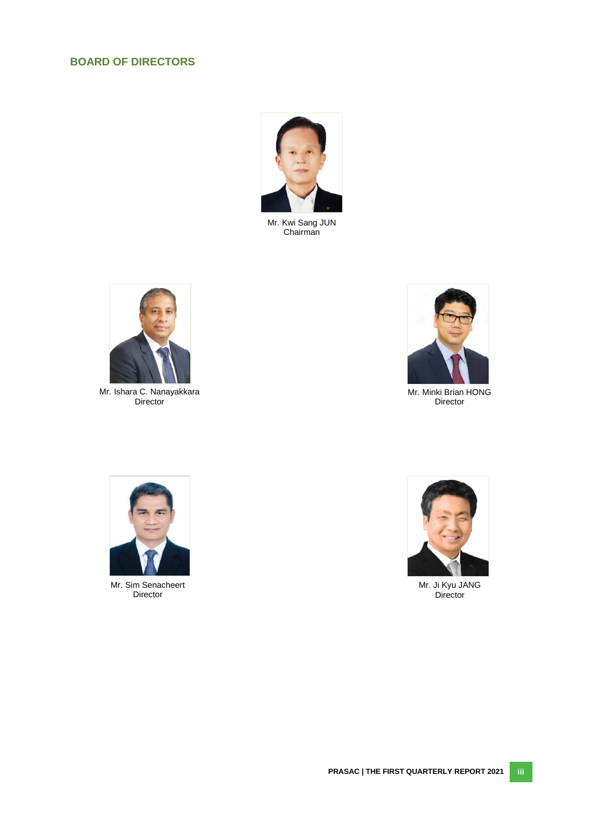# **BOARD OF DIRECTORS**



Mr. Kwi Sang JUN Chairman



Mr. Ishara C. Nanayakkara Director



Mr. Minki Brian HONG Director



Mr. Sim Senacheert Director



Mr. Ji Kyu JANG Director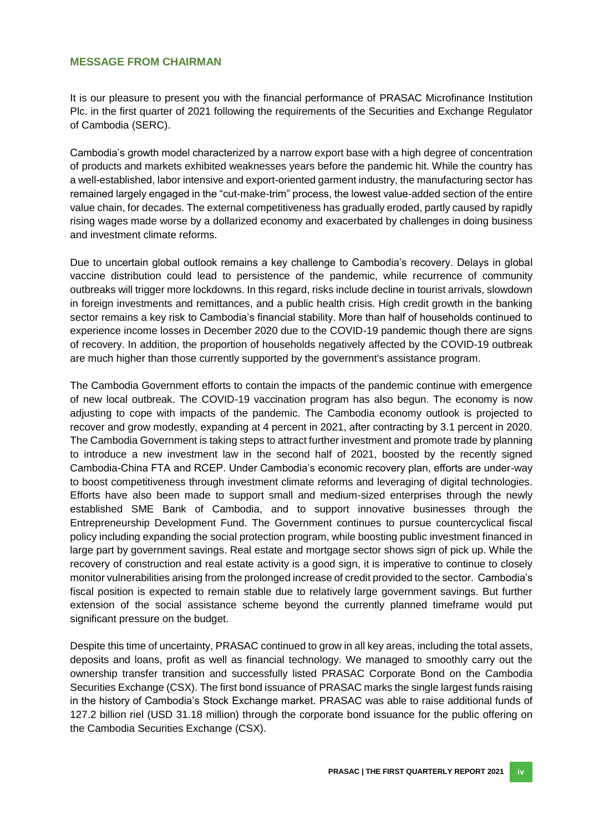#### <span id="page-4-0"></span>**MESSAGE FROM CHAIRMAN**

It is our pleasure to present you with the financial performance of PRASAC Microfinance Institution Plc. in the first quarter of 2021 following the requirements of the Securities and Exchange Regulator of Cambodia (SERC).

Cambodia's growth model characterized by a narrow export base with a high degree of concentration of products and markets exhibited weaknesses years before the pandemic hit. While the country has a well-established, labor intensive and export-oriented garment industry, the manufacturing sector has remained largely engaged in the "cut-make-trim" process, the lowest value-added section of the entire value chain, for decades. The external competitiveness has gradually eroded, partly caused by rapidly rising wages made worse by a dollarized economy and exacerbated by challenges in doing business and investment climate reforms.

Due to uncertain global outlook remains a key challenge to Cambodia's recovery. Delays in global vaccine distribution could lead to persistence of the pandemic, while recurrence of community outbreaks will trigger more lockdowns. In this regard, risks include decline in tourist arrivals, slowdown in foreign investments and remittances, and a public health crisis. High credit growth in the banking sector remains a key risk to Cambodia's financial stability. More than half of households continued to experience income losses in December 2020 due to the COVID-19 pandemic though there are signs of recovery. In addition, the proportion of households negatively affected by the COVID-19 outbreak are much higher than those currently supported by the government's assistance program.

The Cambodia Government efforts to contain the impacts of the pandemic continue with emergence of new local outbreak. The COVID-19 vaccination program has also begun. The economy is now adjusting to cope with impacts of the pandemic. The Cambodia economy outlook is projected to recover and grow modestly, expanding at 4 percent in 2021, after contracting by 3.1 percent in 2020. The Cambodia Government is taking steps to attract further investment and promote trade by planning to introduce a new investment law in the second half of 2021, boosted by the recently signed Cambodia-China FTA and RCEP. Under Cambodia's economic recovery plan, efforts are under-way to boost competitiveness through investment climate reforms and leveraging of digital technologies. Efforts have also been made to support small and medium-sized enterprises through the newly established SME Bank of Cambodia, and to support innovative businesses through the Entrepreneurship Development Fund. The Government continues to pursue countercyclical fiscal policy including expanding the social protection program, while boosting public investment financed in large part by government savings. Real estate and mortgage sector shows sign of pick up. While the recovery of construction and real estate activity is a good sign, it is imperative to continue to closely monitor vulnerabilities arising from the prolonged increase of credit provided to the sector. Cambodia's fiscal position is expected to remain stable due to relatively large government savings. But further extension of the social assistance scheme beyond the currently planned timeframe would put significant pressure on the budget.

Despite this time of uncertainty, PRASAC continued to grow in all key areas, including the total assets, deposits and loans, profit as well as financial technology. We managed to smoothly carry out the ownership transfer transition and successfully listed PRASAC Corporate Bond on the Cambodia Securities Exchange (CSX). The first bond issuance of PRASAC marks the single largest funds raising in the history of Cambodia's Stock Exchange market. PRASAC was able to raise additional funds of 127.2 billion riel (USD 31.18 million) through the corporate bond issuance for the public offering on the Cambodia Securities Exchange (CSX).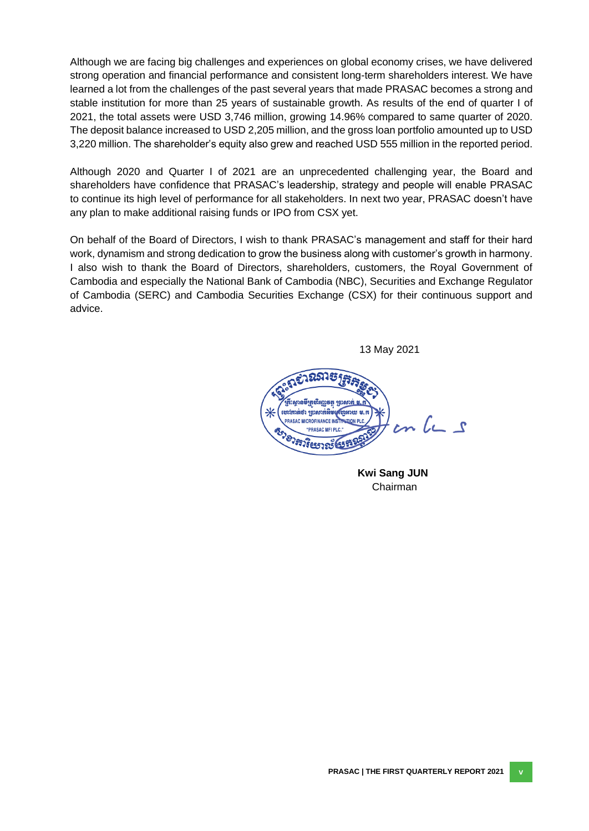Although we are facing big challenges and experiences on global economy crises, we have delivered strong operation and financial performance and consistent long-term shareholders interest. We have learned a lot from the challenges of the past several years that made PRASAC becomes a strong and stable institution for more than 25 years of sustainable growth. As results of the end of quarter I of 2021, the total assets were USD 3,746 million, growing 14.96% compared to same quarter of 2020. The deposit balance increased to USD 2,205 million, and the gross loan portfolio amounted up to USD 3,220 million. The shareholder's equity also grew and reached USD 555 million in the reported period.

Although 2020 and Quarter I of 2021 are an unprecedented challenging year, the Board and shareholders have confidence that PRASAC's leadership, strategy and people will enable PRASAC to continue its high level of performance for all stakeholders. In next two year, PRASAC doesn't have any plan to make additional raising funds or IPO from CSX yet.

On behalf of the Board of Directors, I wish to thank PRASAC's management and staff for their hard work, dynamism and strong dedication to grow the business along with customer's growth in harmony. I also wish to thank the Board of Directors, shareholders, customers, the Royal Government of Cambodia and especially the National Bank of Cambodia (NBC), Securities and Exchange Regulator of Cambodia (SERC) and Cambodia Securities Exchange (CSX) for their continuous support and advice.

13 May 2021



**Kwi Sang JUN** Chairman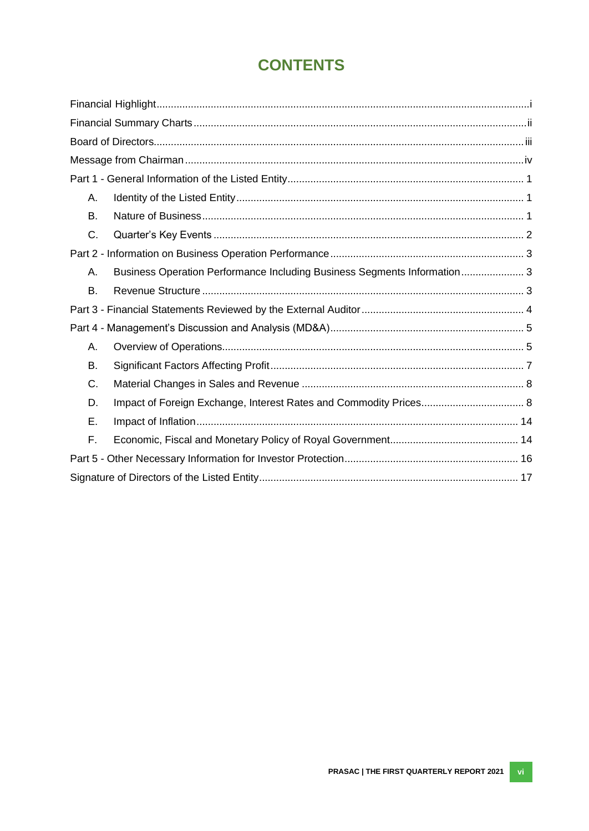# **CONTENTS**

| Α.        |                                                                          |  |
|-----------|--------------------------------------------------------------------------|--|
| <b>B.</b> |                                                                          |  |
| C.        |                                                                          |  |
|           |                                                                          |  |
| Α.        | Business Operation Performance Including Business Segments Information 3 |  |
| <b>B.</b> |                                                                          |  |
|           |                                                                          |  |
|           |                                                                          |  |
| А.        |                                                                          |  |
| B.        |                                                                          |  |
| C.        |                                                                          |  |
| D.        |                                                                          |  |
| Ε.        |                                                                          |  |
| F.        |                                                                          |  |
|           |                                                                          |  |
|           |                                                                          |  |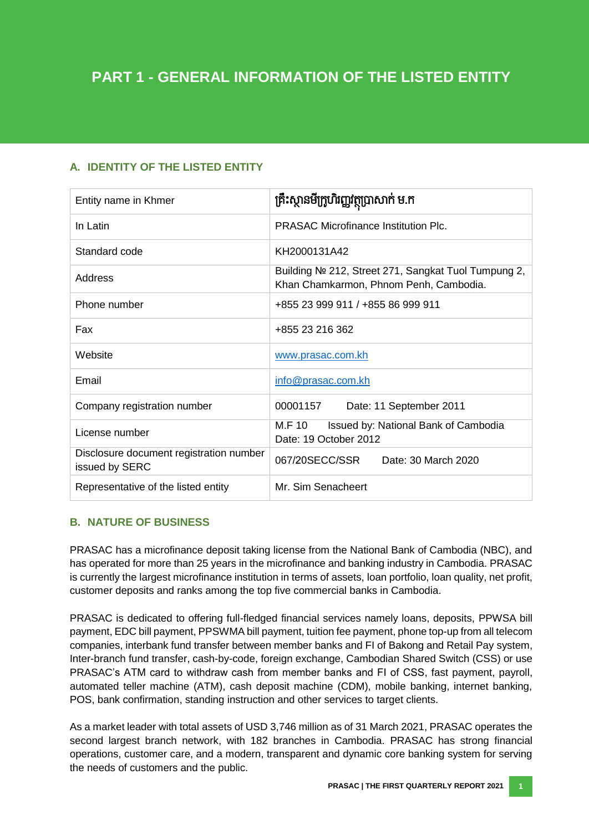# <span id="page-7-0"></span>**A. IDENTITY OF THE LISTED ENTITY**

| Entity name in Khmer                                      | គ្រឹះស្ថានមីក្រូហិរញ្ញវត្ថុប្រាសាក់ ម.ក                                                       |  |  |  |
|-----------------------------------------------------------|-----------------------------------------------------------------------------------------------|--|--|--|
| In Latin                                                  | <b>PRASAC Microfinance Institution Plc.</b>                                                   |  |  |  |
| Standard code                                             | KH2000131A42                                                                                  |  |  |  |
| Address                                                   | Building № 212, Street 271, Sangkat Tuol Tumpung 2,<br>Khan Chamkarmon, Phnom Penh, Cambodia. |  |  |  |
| Phone number                                              | +855 23 999 911 / +855 86 999 911                                                             |  |  |  |
| Fax                                                       | +855 23 216 362                                                                               |  |  |  |
| Website                                                   | www.prasac.com.kh                                                                             |  |  |  |
| Email                                                     | info@prasac.com.kh                                                                            |  |  |  |
| Company registration number                               | 00001157<br>Date: 11 September 2011                                                           |  |  |  |
| License number                                            | M.F 10<br>Issued by: National Bank of Cambodia<br>Date: 19 October 2012                       |  |  |  |
| Disclosure document registration number<br>issued by SERC | 067/20SECC/SSR<br>Date: 30 March 2020                                                         |  |  |  |
| Representative of the listed entity                       | Mr. Sim Senacheert                                                                            |  |  |  |

#### <span id="page-7-1"></span>**B. NATURE OF BUSINESS**

PRASAC has a microfinance deposit taking license from the National Bank of Cambodia (NBC), and has operated for more than 25 years in the microfinance and banking industry in Cambodia. PRASAC is currently the largest microfinance institution in terms of assets, loan portfolio, loan quality, net profit, customer deposits and ranks among the top five commercial banks in Cambodia.

PRASAC is dedicated to offering full-fledged financial services namely loans, deposits, PPWSA bill payment, EDC bill payment, PPSWMA bill payment, tuition fee payment, phone top-up from all telecom companies, interbank fund transfer between member banks and FI of Bakong and Retail Pay system, Inter-branch fund transfer, cash-by-code, foreign exchange, Cambodian Shared Switch (CSS) or use PRASAC's ATM card to withdraw cash from member banks and FI of CSS, fast payment, payroll, automated teller machine (ATM), cash deposit machine (CDM), mobile banking, internet banking, POS, bank confirmation, standing instruction and other services to target clients.

As a market leader with total assets of USD 3,746 million as of 31 March 2021, PRASAC operates the second largest branch network, with 182 branches in Cambodia. PRASAC has strong financial operations, customer care, and a modern, transparent and dynamic core banking system for serving the needs of customers and the public.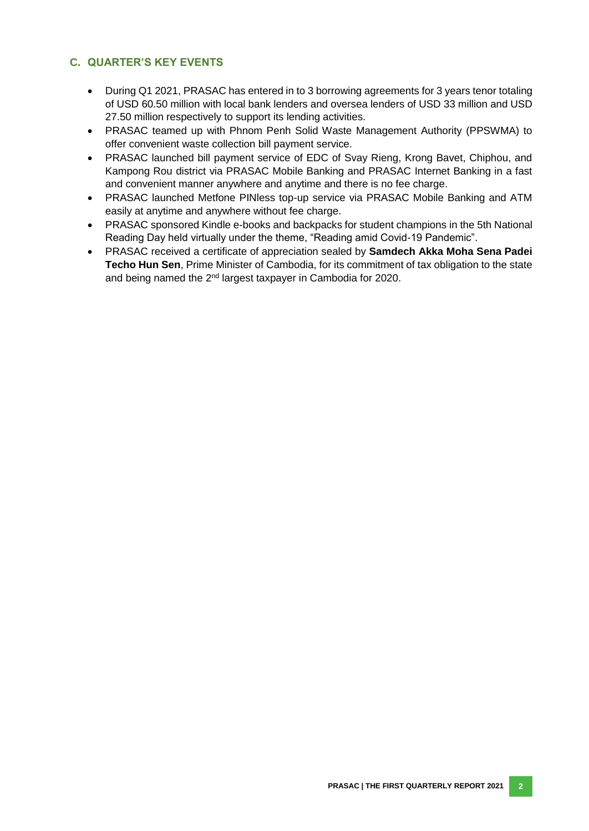### <span id="page-8-0"></span>**C. QUARTER'S KEY EVENTS**

- During Q1 2021, PRASAC has entered in to 3 borrowing agreements for 3 years tenor totaling of USD 60.50 million with local bank lenders and oversea lenders of USD 33 million and USD 27.50 million respectively to support its lending activities.
- PRASAC teamed up with Phnom Penh Solid Waste Management Authority (PPSWMA) to offer convenient waste collection bill payment service.
- PRASAC launched bill payment service of EDC of Svay Rieng, Krong Bavet, Chiphou, and Kampong Rou district via PRASAC Mobile Banking and PRASAC Internet Banking in a fast and convenient manner anywhere and anytime and there is no fee charge.
- PRASAC launched Metfone PINless top-up service via PRASAC Mobile Banking and ATM easily at anytime and anywhere without fee charge.
- PRASAC sponsored Kindle e-books and backpacks for student champions in the 5th National Reading Day held virtually under the theme, "Reading amid Covid-19 Pandemic".
- PRASAC received a certificate of appreciation sealed by **Samdech Akka Moha Sena Padei Techo Hun Sen**, Prime Minister of Cambodia, for its commitment of tax obligation to the state and being named the 2<sup>nd</sup> largest taxpayer in Cambodia for 2020.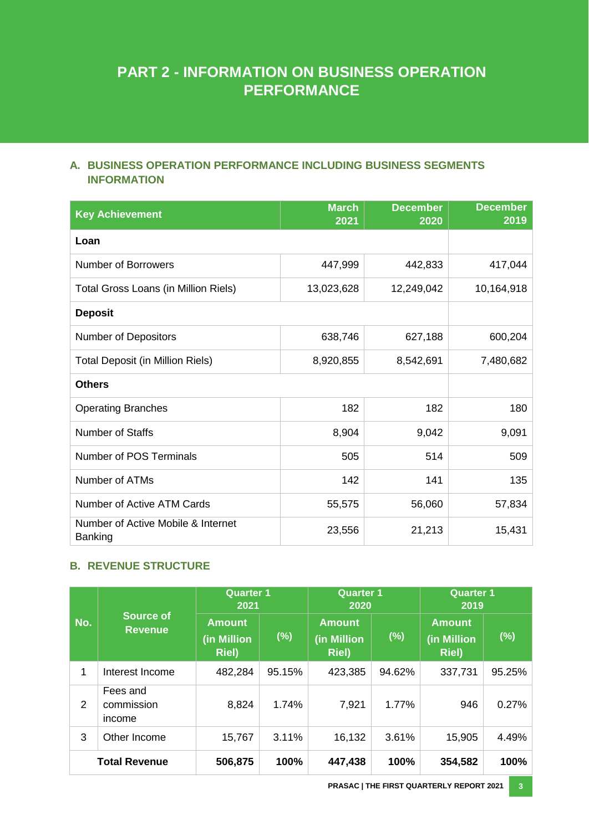# **PART 2 - INFORMATION ON BUSINESS OPERATION PERFORMANCE**

# <span id="page-9-0"></span>**A. BUSINESS OPERATION PERFORMANCE INCLUDING BUSINESS SEGMENTS INFORMATION**

| <b>Key Achievement</b>                        | <b>March</b><br>2021 | <b>December</b><br>2020 | <b>December</b><br>2019 |
|-----------------------------------------------|----------------------|-------------------------|-------------------------|
| Loan                                          |                      |                         |                         |
| <b>Number of Borrowers</b>                    | 447,999              | 442,833                 | 417,044                 |
| Total Gross Loans (in Million Riels)          | 13,023,628           | 12,249,042              | 10,164,918              |
| <b>Deposit</b>                                |                      |                         |                         |
| <b>Number of Depositors</b>                   | 638,746              | 627,188                 | 600,204                 |
| Total Deposit (in Million Riels)              | 8,920,855            | 8,542,691               | 7,480,682               |
| <b>Others</b>                                 |                      |                         |                         |
| <b>Operating Branches</b>                     | 182                  | 182                     | 180                     |
| <b>Number of Staffs</b>                       | 8,904                | 9,042                   | 9,091                   |
| Number of POS Terminals                       | 505                  | 514                     | 509                     |
| Number of ATMs                                | 142                  | 141                     | 135                     |
| Number of Active ATM Cards                    | 55,575               | 56,060                  | 57,834                  |
| Number of Active Mobile & Internet<br>Banking | 23,556               | 21,213                  | 15,431                  |

# <span id="page-9-1"></span>**B. REVENUE STRUCTURE**

|     |                                    | <b>Quarter 1</b><br>2021                      |        | <b>Quarter 1</b><br>2020                      |        | <b>Quarter 1</b><br>2019                      |        |
|-----|------------------------------------|-----------------------------------------------|--------|-----------------------------------------------|--------|-----------------------------------------------|--------|
| No. | <b>Source of</b><br><b>Revenue</b> | <b>Amount</b><br>(in Million<br><b>Riel</b> ) | (%)    | <b>Amount</b><br>(in Million<br><b>Riel</b> ) | (%)    | <b>Amount</b><br>(in Million<br><b>Riel</b> ) | (%)    |
| 1   | Interest Income                    | 482,284                                       | 95.15% | 423,385                                       | 94.62% | 337,731                                       | 95.25% |
| 2   | Fees and<br>commission<br>income   | 8,824                                         | 1.74%  | 7,921                                         | 1.77%  | 946                                           | 0.27%  |
| 3   | Other Income                       | 15,767                                        | 3.11%  | 16,132                                        | 3.61%  | 15,905                                        | 4.49%  |
|     | <b>Total Revenue</b>               | 506,875                                       | 100%   | 447,438                                       | 100%   | 354,582                                       | 100%   |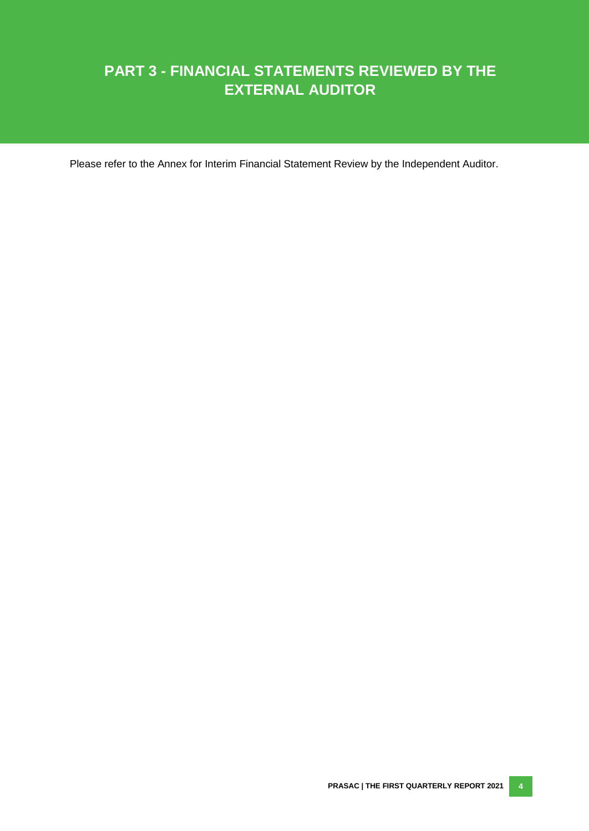# **PART 3 - FINANCIAL STATEMENTS REVIEWED BY THE EXTERNAL AUDITOR**

Please refer to the Annex for Interim Financial Statement Review by the Independent Auditor.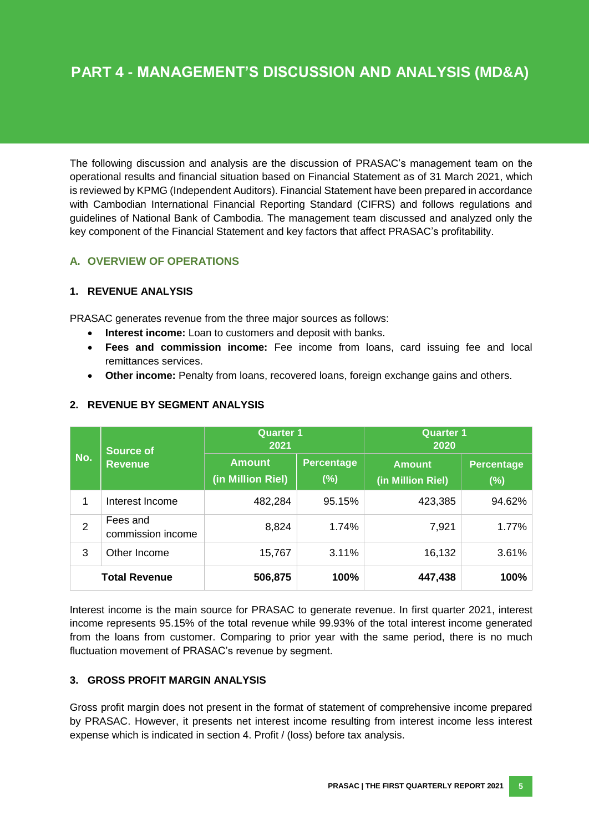The following discussion and analysis are the discussion of PRASAC's management team on the operational results and financial situation based on Financial Statement as of 31 March 2021, which is reviewed by KPMG (Independent Auditors). Financial Statement have been prepared in accordance with Cambodian International Financial Reporting Standard (CIFRS) and follows regulations and guidelines of National Bank of Cambodia. The management team discussed and analyzed only the key component of the Financial Statement and key factors that affect PRASAC's profitability.

### <span id="page-11-0"></span>**A. OVERVIEW OF OPERATIONS**

#### **1. REVENUE ANALYSIS**

PRASAC generates revenue from the three major sources as follows:

- **Interest income:** Loan to customers and deposit with banks.
- **Fees and commission income:** Fee income from loans, card issuing fee and local remittances services.
- **Other income:** Penalty from loans, recovered loans, foreign exchange gains and others.

|                | <b>Source of</b>              | <b>Quarter 1</b><br>2021           |                          | <b>Quarter 1</b><br>2020           |                          |
|----------------|-------------------------------|------------------------------------|--------------------------|------------------------------------|--------------------------|
| No.            | <b>Revenue</b>                | <b>Amount</b><br>(in Million Riel) | <b>Percentage</b><br>(%) | <b>Amount</b><br>(in Million Riel) | <b>Percentage</b><br>(%) |
| 1              | Interest Income               | 482,284                            | 95.15%                   | 423,385                            | 94.62%                   |
| $\overline{2}$ | Fees and<br>commission income | 8,824                              | 1.74%                    | 7,921                              | 1.77%                    |
| 3              | Other Income                  | 15,767                             | 3.11%                    | 16,132                             | 3.61%                    |
|                | <b>Total Revenue</b>          | 506,875                            | 100%                     | 447,438                            | 100%                     |

#### **2. REVENUE BY SEGMENT ANALYSIS**

Interest income is the main source for PRASAC to generate revenue. In first quarter 2021, interest income represents 95.15% of the total revenue while 99.93% of the total interest income generated from the loans from customer. Comparing to prior year with the same period, there is no much fluctuation movement of PRASAC's revenue by segment.

#### **3. GROSS PROFIT MARGIN ANALYSIS**

Gross profit margin does not present in the format of statement of comprehensive income prepared by PRASAC. However, it presents net interest income resulting from interest income less interest expense which is indicated in section 4. Profit / (loss) before tax analysis.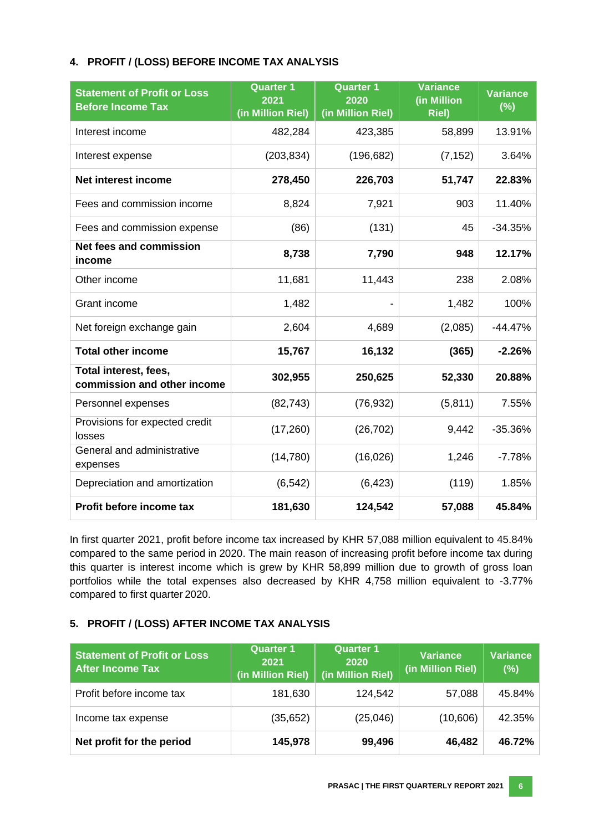#### **4. PROFIT / (LOSS) BEFORE INCOME TAX ANALYSIS**

| <b>Statement of Profit or Loss</b><br><b>Before Income Tax</b> | <b>Quarter 1</b><br>2021<br>(in Million Riel) | <b>Quarter 1</b><br>2020<br>(in Million Riel) | <b>Variance</b><br>(in Million<br><b>Riel</b> ) | <b>Variance</b><br>(%) |
|----------------------------------------------------------------|-----------------------------------------------|-----------------------------------------------|-------------------------------------------------|------------------------|
| Interest income                                                | 482,284                                       | 423,385                                       | 58,899                                          | 13.91%                 |
| Interest expense                                               | (203, 834)                                    | (196, 682)                                    | (7, 152)                                        | 3.64%                  |
| <b>Net interest income</b>                                     | 278,450                                       | 226,703                                       | 51,747                                          | 22.83%                 |
| Fees and commission income                                     | 8,824                                         | 7,921                                         | 903                                             | 11.40%                 |
| Fees and commission expense                                    | (86)                                          | (131)                                         | 45                                              | $-34.35%$              |
| <b>Net fees and commission</b><br>income                       | 8,738                                         | 7,790                                         | 948                                             | 12.17%                 |
| Other income                                                   | 11,681                                        | 11,443                                        | 238                                             | 2.08%                  |
| Grant income                                                   | 1,482                                         |                                               | 1,482                                           | 100%                   |
| Net foreign exchange gain                                      | 2,604                                         | 4,689                                         | (2,085)                                         | $-44.47%$              |
| <b>Total other income</b>                                      | 15,767                                        | 16,132                                        | (365)                                           | $-2.26%$               |
| Total interest, fees,<br>commission and other income           | 302,955                                       | 250,625                                       | 52,330                                          | 20.88%                 |
| Personnel expenses                                             | (82, 743)                                     | (76, 932)                                     | (5,811)                                         | 7.55%                  |
| Provisions for expected credit<br>losses                       | (17,260)                                      | (26, 702)                                     | 9,442                                           | $-35.36%$              |
| General and administrative<br>expenses                         | (14, 780)                                     | (16,026)                                      | 1,246                                           | $-7.78%$               |
| Depreciation and amortization                                  | (6, 542)                                      | (6, 423)                                      | (119)                                           | 1.85%                  |
| Profit before income tax                                       | 181,630                                       | 124,542                                       | 57,088                                          | 45.84%                 |

In first quarter 2021, profit before income tax increased by KHR 57,088 million equivalent to 45.84% compared to the same period in 2020. The main reason of increasing profit before income tax during this quarter is interest income which is grew by KHR 58,899 million due to growth of gross loan portfolios while the total expenses also decreased by KHR 4,758 million equivalent to -3.77% compared to first quarter 2020.

#### **5. PROFIT / (LOSS) AFTER INCOME TAX ANALYSIS**

| <b>Statement of Profit or Loss</b><br><b>After Income Tax</b> | <b>Quarter 1</b><br>2021<br>(in Million Riel) | <b>Quarter 1</b><br>2020<br>(in Million Riel) | <b>Variance</b><br>(in Million Riel) | <b>Variance</b><br>(%) |
|---------------------------------------------------------------|-----------------------------------------------|-----------------------------------------------|--------------------------------------|------------------------|
| Profit before income tax                                      | 181,630                                       | 124,542                                       | 57,088                               | 45.84%                 |
| Income tax expense                                            | (35,652)                                      | (25,046)                                      | (10,606)                             | 42.35%                 |
| Net profit for the period                                     | 145,978                                       | 99,496                                        | 46,482                               | 46.72%                 |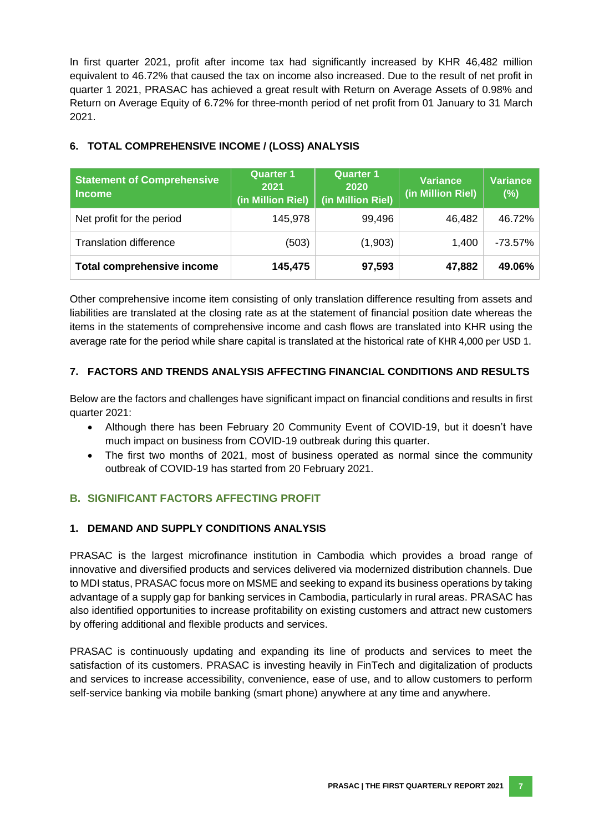In first quarter 2021, profit after income tax had significantly increased by KHR 46,482 million equivalent to 46.72% that caused the tax on income also increased. Due to the result of net profit in quarter 1 2021, PRASAC has achieved a great result with Return on Average Assets of 0.98% and Return on Average Equity of 6.72% for three-month period of net profit from 01 January to 31 March 2021.

|  |  | 6. TOTAL COMPREHENSIVE INCOME / (LOSS) ANALYSIS |  |  |  |
|--|--|-------------------------------------------------|--|--|--|
|--|--|-------------------------------------------------|--|--|--|

| <b>Statement of Comprehensive</b><br><b>Income</b> | <b>Quarter 1</b><br>2021<br>(in Million Riel) | <b>Quarter 1</b><br>2020<br>(in Million Riel) | <b>Variance</b><br>(in Million Riel) | <b>Variance</b><br>(%) |
|----------------------------------------------------|-----------------------------------------------|-----------------------------------------------|--------------------------------------|------------------------|
| Net profit for the period                          | 145,978                                       | 99,496                                        | 46,482                               | 46.72%                 |
| <b>Translation difference</b>                      | (503)                                         | (1,903)                                       | 1,400                                | $-73.57\%$             |
| <b>Total comprehensive income</b>                  | 145,475                                       | 97,593                                        | 47,882                               | 49.06%                 |

Other comprehensive income item consisting of only translation difference resulting from assets and liabilities are translated at the closing rate as at the statement of financial position date whereas the items in the statements of comprehensive income and cash flows are translated into KHR using the average rate for the period while share capital is translated at the historical rate of KHR 4,000 per USD 1.

# **7. FACTORS AND TRENDS ANALYSIS AFFECTING FINANCIAL CONDITIONS AND RESULTS**

Below are the factors and challenges have significant impact on financial conditions and results in first quarter 2021:

- Although there has been February 20 Community Event of COVID-19, but it doesn't have much impact on business from COVID-19 outbreak during this quarter.
- The first two months of 2021, most of business operated as normal since the community outbreak of COVID-19 has started from 20 February 2021.

# <span id="page-13-0"></span>**B. SIGNIFICANT FACTORS AFFECTING PROFIT**

#### **1. DEMAND AND SUPPLY CONDITIONS ANALYSIS**

PRASAC is the largest microfinance institution in Cambodia which provides a broad range of innovative and diversified products and services delivered via modernized distribution channels. Due to MDI status, PRASAC focus more on MSME and seeking to expand its business operations by taking advantage of a supply gap for banking services in Cambodia, particularly in rural areas. PRASAC has also identified opportunities to increase profitability on existing customers and attract new customers by offering additional and flexible products and services.

PRASAC is continuously updating and expanding its line of products and services to meet the satisfaction of its customers. PRASAC is investing heavily in FinTech and digitalization of products and services to increase accessibility, convenience, ease of use, and to allow customers to perform self-service banking via mobile banking (smart phone) anywhere at any time and anywhere.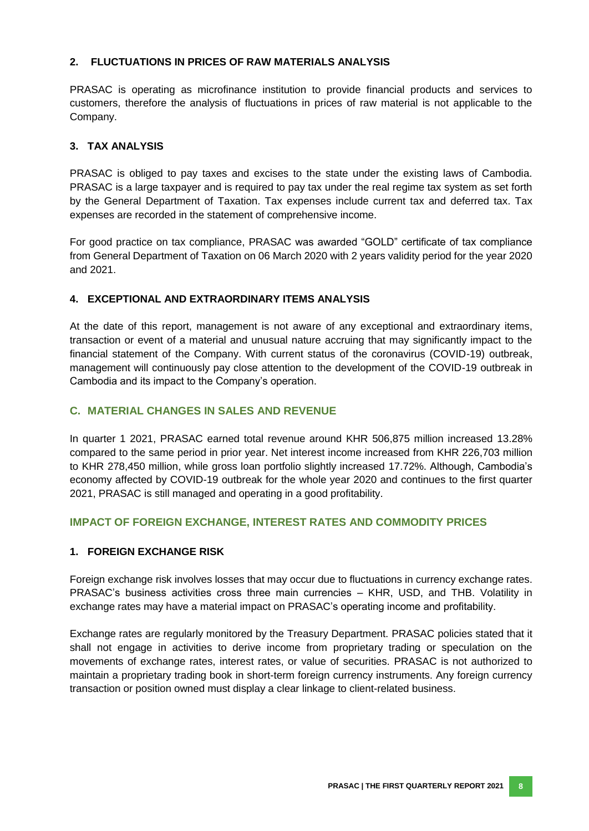#### **2. FLUCTUATIONS IN PRICES OF RAW MATERIALS ANALYSIS**

PRASAC is operating as microfinance institution to provide financial products and services to customers, therefore the analysis of fluctuations in prices of raw material is not applicable to the Company.

#### **3. TAX ANALYSIS**

PRASAC is obliged to pay taxes and excises to the state under the existing laws of Cambodia. PRASAC is a large taxpayer and is required to pay tax under the real regime tax system as set forth by the General Department of Taxation. Tax expenses include current tax and deferred tax. Tax expenses are recorded in the statement of comprehensive income.

For good practice on tax compliance, PRASAC was awarded "GOLD" certificate of tax compliance from General Department of Taxation on 06 March 2020 with 2 years validity period for the year 2020 and 2021.

#### **4. EXCEPTIONAL AND EXTRAORDINARY ITEMS ANALYSIS**

At the date of this report, management is not aware of any exceptional and extraordinary items, transaction or event of a material and unusual nature accruing that may significantly impact to the financial statement of the Company. With current status of the coronavirus (COVID-19) outbreak, management will continuously pay close attention to the development of the COVID-19 outbreak in Cambodia and its impact to the Company's operation.

#### <span id="page-14-0"></span>**C. MATERIAL CHANGES IN SALES AND REVENUE**

<span id="page-14-1"></span>In quarter 1 2021, PRASAC earned total revenue around KHR 506,875 million increased 13.28% compared to the same period in prior year. Net interest income increased from KHR 226,703 million to KHR 278,450 million, while gross loan portfolio slightly increased 17.72%. Although, Cambodia's economy affected by COVID-19 outbreak for the whole year 2020 and continues to the first quarter 2021, PRASAC is still managed and operating in a good profitability.

#### **IMPACT OF FOREIGN EXCHANGE, INTEREST RATES AND COMMODITY PRICES**

#### **1. FOREIGN EXCHANGE RISK**

Foreign exchange risk involves losses that may occur due to fluctuations in currency exchange rates. PRASAC's business activities cross three main currencies – KHR, USD, and THB. Volatility in exchange rates may have a material impact on PRASAC's operating income and profitability.

Exchange rates are regularly monitored by the Treasury Department. PRASAC policies stated that it shall not engage in activities to derive income from proprietary trading or speculation on the movements of exchange rates, interest rates, or value of securities. PRASAC is not authorized to maintain a proprietary trading book in short-term foreign currency instruments. Any foreign currency transaction or position owned must display a clear linkage to client-related business.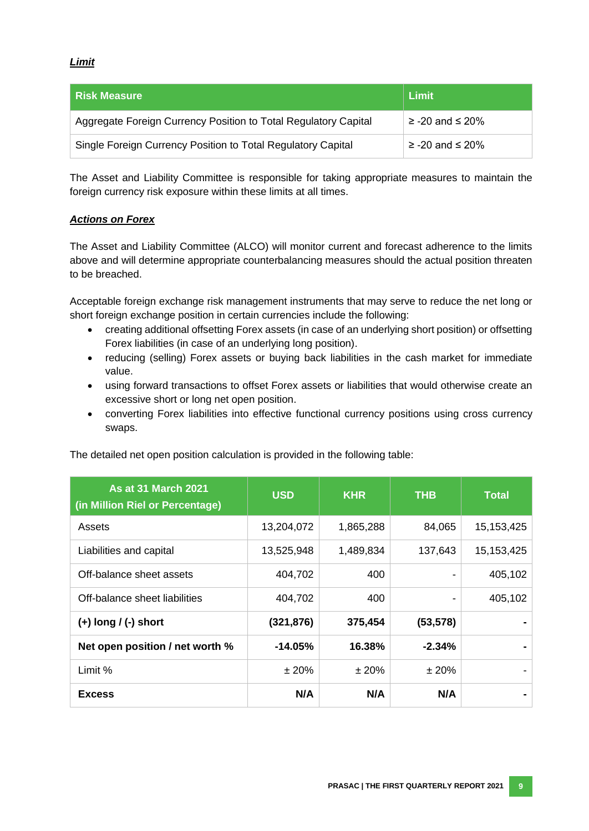#### *Limit*

| l Risk Measure                                                  | Limit                   |
|-----------------------------------------------------------------|-------------------------|
| Aggregate Foreign Currency Position to Total Regulatory Capital | $\ge$ -20 and $\le$ 20% |
| Single Foreign Currency Position to Total Regulatory Capital    | $\ge$ -20 and $\le$ 20% |

The Asset and Liability Committee is responsible for taking appropriate measures to maintain the foreign currency risk exposure within these limits at all times.

#### *Actions on Forex*

The Asset and Liability Committee (ALCO) will monitor current and forecast adherence to the limits above and will determine appropriate counterbalancing measures should the actual position threaten to be breached.

Acceptable foreign exchange risk management instruments that may serve to reduce the net long or short foreign exchange position in certain currencies include the following:

- creating additional offsetting Forex assets (in case of an underlying short position) or offsetting Forex liabilities (in case of an underlying long position).
- reducing (selling) Forex assets or buying back liabilities in the cash market for immediate value.
- using forward transactions to offset Forex assets or liabilities that would otherwise create an excessive short or long net open position.
- converting Forex liabilities into effective functional currency positions using cross currency swaps.

| <b>As at 31 March 2021</b><br>(in Million Riel or Percentage) | <b>USD</b> | <b>KHR</b> | <b>THB</b> | <b>Total</b> |
|---------------------------------------------------------------|------------|------------|------------|--------------|
| Assets                                                        | 13,204,072 | 1,865,288  | 84,065     | 15, 153, 425 |
| Liabilities and capital                                       | 13,525,948 | 1,489,834  | 137,643    | 15, 153, 425 |
| Off-balance sheet assets                                      | 404,702    | 400        |            | 405,102      |
| Off-balance sheet liabilities                                 | 404,702    | 400        |            | 405,102      |
| $(+)$ long $/$ (-) short                                      | (321, 876) | 375,454    | (53, 578)  |              |
| Net open position / net worth %                               | $-14.05%$  | 16.38%     | $-2.34%$   |              |
| Limit %                                                       | ±20%       | ±20%       | ±20%       |              |
| <b>Excess</b>                                                 | N/A        | N/A        | N/A        |              |

The detailed net open position calculation is provided in the following table: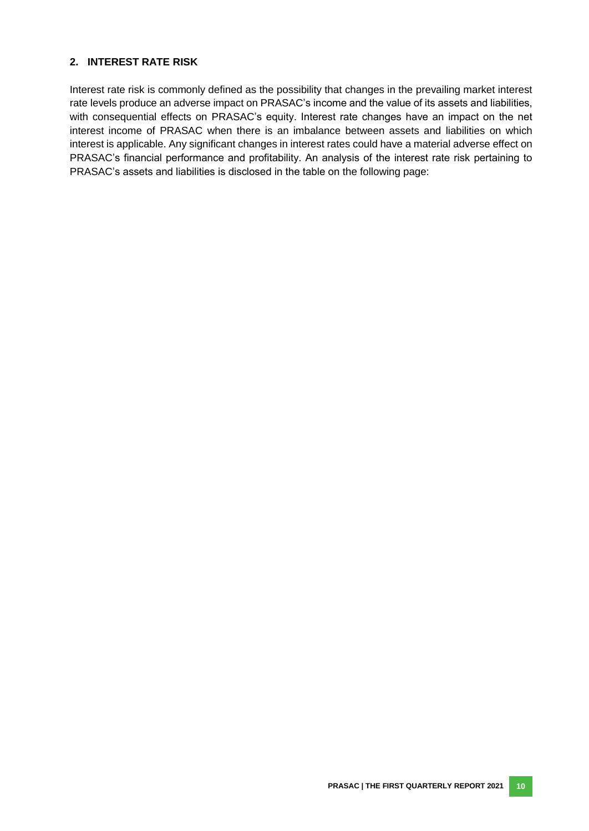#### **2. INTEREST RATE RISK**

Interest rate risk is commonly defined as the possibility that changes in the prevailing market interest rate levels produce an adverse impact on PRASAC's income and the value of its assets and liabilities, with consequential effects on PRASAC's equity. Interest rate changes have an impact on the net interest income of PRASAC when there is an imbalance between assets and liabilities on which interest is applicable. Any significant changes in interest rates could have a material adverse effect on PRASAC's financial performance and profitability. An analysis of the interest rate risk pertaining to PRASAC's assets and liabilities is disclosed in the table on the following page: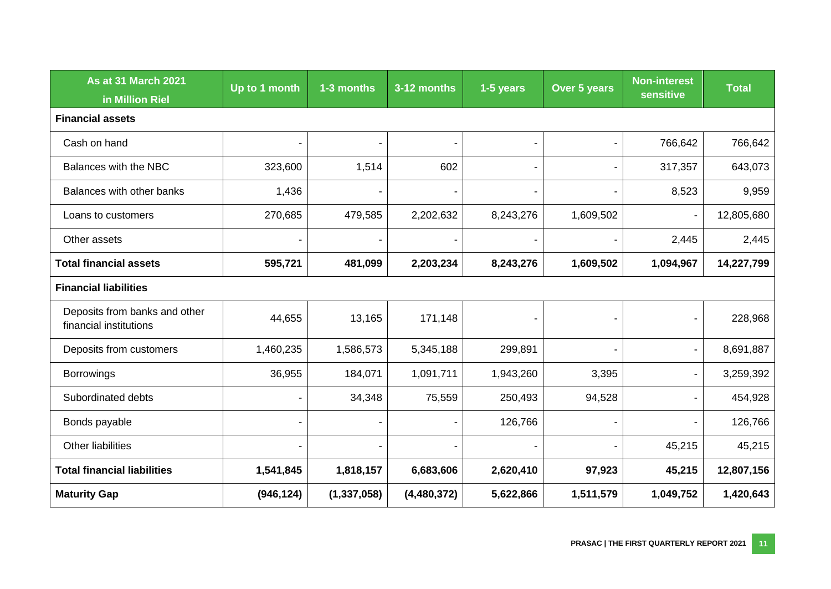| <b>As at 31 March 2021</b><br>in Million Riel           | Up to 1 month | 1-3 months     | 3-12 months | 1-5 years                | Over 5 years   | <b>Non-interest</b><br>sensitive | <b>Total</b> |  |  |
|---------------------------------------------------------|---------------|----------------|-------------|--------------------------|----------------|----------------------------------|--------------|--|--|
| <b>Financial assets</b>                                 |               |                |             |                          |                |                                  |              |  |  |
| Cash on hand                                            |               | $\blacksquare$ |             | $\blacksquare$           | $\blacksquare$ | 766,642                          | 766,642      |  |  |
| Balances with the NBC                                   | 323,600       | 1,514          | 602         | $\overline{\phantom{a}}$ | $\blacksquare$ | 317,357                          | 643,073      |  |  |
| Balances with other banks                               | 1,436         |                |             | $\overline{\phantom{a}}$ | $\blacksquare$ | 8,523                            | 9,959        |  |  |
| Loans to customers                                      | 270,685       | 479,585        | 2,202,632   | 8,243,276                | 1,609,502      | $\overline{a}$                   | 12,805,680   |  |  |
| Other assets                                            |               |                |             |                          |                | 2,445                            | 2,445        |  |  |
| <b>Total financial assets</b>                           | 595,721       | 481,099        | 2,203,234   | 8,243,276                | 1,609,502      | 1,094,967                        | 14,227,799   |  |  |
| <b>Financial liabilities</b>                            |               |                |             |                          |                |                                  |              |  |  |
| Deposits from banks and other<br>financial institutions | 44,655        | 13,165         | 171,148     |                          |                |                                  | 228,968      |  |  |
| Deposits from customers                                 | 1,460,235     | 1,586,573      | 5,345,188   | 299,891                  |                |                                  | 8,691,887    |  |  |
| <b>Borrowings</b>                                       | 36,955        | 184,071        | 1,091,711   | 1,943,260                | 3,395          | $\blacksquare$                   | 3,259,392    |  |  |
| Subordinated debts                                      |               | 34,348         | 75,559      | 250,493                  | 94,528         |                                  | 454,928      |  |  |
| Bonds payable                                           |               |                |             | 126,766                  | $\blacksquare$ |                                  | 126,766      |  |  |
| Other liabilities                                       |               |                |             |                          | $\blacksquare$ | 45,215                           | 45,215       |  |  |
| <b>Total financial liabilities</b>                      | 1,541,845     | 1,818,157      | 6,683,606   | 2,620,410                | 97,923         | 45,215                           | 12,807,156   |  |  |
| <b>Maturity Gap</b>                                     | (946, 124)    | (1, 337, 058)  | (4,480,372) | 5,622,866                | 1,511,579      | 1,049,752                        | 1,420,643    |  |  |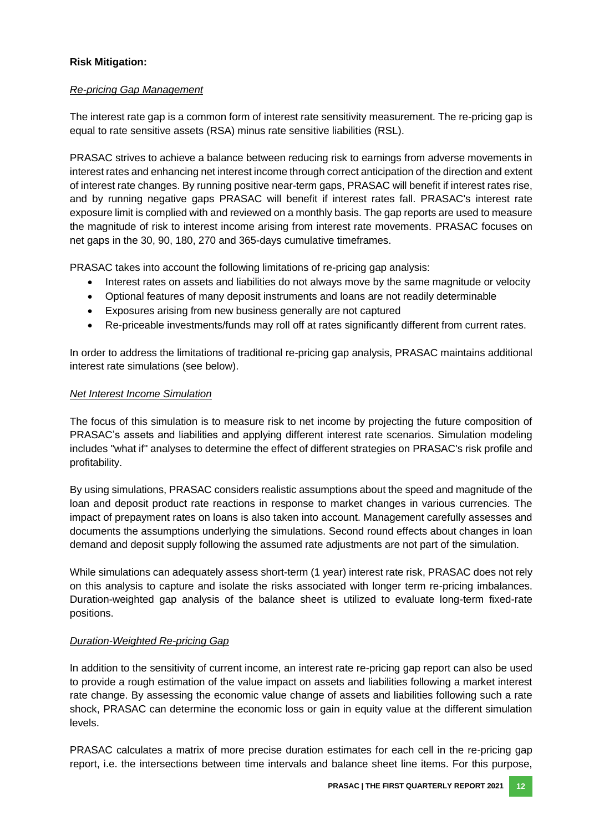#### **Risk Mitigation:**

#### *Re-pricing Gap Management*

The interest rate gap is a common form of interest rate sensitivity measurement. The re-pricing gap is equal to rate sensitive assets (RSA) minus rate sensitive liabilities (RSL).

PRASAC strives to achieve a balance between reducing risk to earnings from adverse movements in interest rates and enhancing net interest income through correct anticipation of the direction and extent of interest rate changes. By running positive near-term gaps, PRASAC will benefit if interest rates rise, and by running negative gaps PRASAC will benefit if interest rates fall. PRASAC's interest rate exposure limit is complied with and reviewed on a monthly basis. The gap reports are used to measure the magnitude of risk to interest income arising from interest rate movements. PRASAC focuses on net gaps in the 30, 90, 180, 270 and 365-days cumulative timeframes.

PRASAC takes into account the following limitations of re-pricing gap analysis:

- Interest rates on assets and liabilities do not always move by the same magnitude or velocity
- Optional features of many deposit instruments and loans are not readily determinable
- Exposures arising from new business generally are not captured
- Re-priceable investments/funds may roll off at rates significantly different from current rates.

In order to address the limitations of traditional re-pricing gap analysis, PRASAC maintains additional interest rate simulations (see below).

#### *Net Interest Income Simulation*

The focus of this simulation is to measure risk to net income by projecting the future composition of PRASAC's assets and liabilities and applying different interest rate scenarios. Simulation modeling includes "what if" analyses to determine the effect of different strategies on PRASAC's risk profile and profitability.

By using simulations, PRASAC considers realistic assumptions about the speed and magnitude of the loan and deposit product rate reactions in response to market changes in various currencies. The impact of prepayment rates on loans is also taken into account. Management carefully assesses and documents the assumptions underlying the simulations. Second round effects about changes in loan demand and deposit supply following the assumed rate adjustments are not part of the simulation.

While simulations can adequately assess short-term (1 year) interest rate risk, PRASAC does not rely on this analysis to capture and isolate the risks associated with longer term re-pricing imbalances. Duration-weighted gap analysis of the balance sheet is utilized to evaluate long-term fixed-rate positions.

#### *Duration-Weighted Re-pricing Gap*

In addition to the sensitivity of current income, an interest rate re-pricing gap report can also be used to provide a rough estimation of the value impact on assets and liabilities following a market interest rate change. By assessing the economic value change of assets and liabilities following such a rate shock, PRASAC can determine the economic loss or gain in equity value at the different simulation levels.

PRASAC calculates a matrix of more precise duration estimates for each cell in the re-pricing gap report, i.e. the intersections between time intervals and balance sheet line items. For this purpose,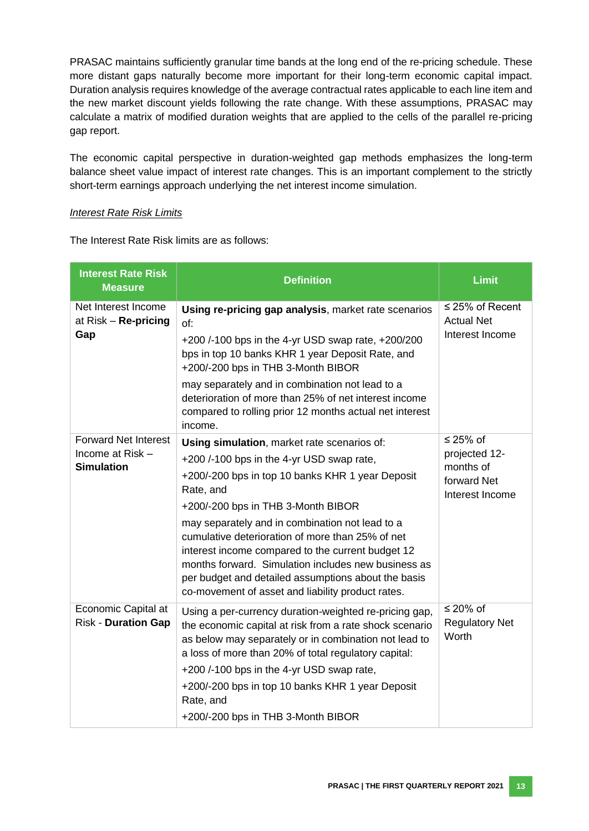PRASAC maintains sufficiently granular time bands at the long end of the re-pricing schedule. These more distant gaps naturally become more important for their long-term economic capital impact. Duration analysis requires knowledge of the average contractual rates applicable to each line item and the new market discount yields following the rate change. With these assumptions, PRASAC may calculate a matrix of modified duration weights that are applied to the cells of the parallel re-pricing gap report.

The economic capital perspective in duration-weighted gap methods emphasizes the long-term balance sheet value impact of interest rate changes. This is an important complement to the strictly short-term earnings approach underlying the net interest income simulation.

#### *Interest Rate Risk Limits*

The Interest Rate Risk limits are as follows:

| <b>Interest Rate Risk</b><br><b>Measure</b>                          | <b>Definition</b>                                                                                                                                                                                                                                                                                                                                                                                                                                                                                                              | <b>Limit</b>                                                                  |
|----------------------------------------------------------------------|--------------------------------------------------------------------------------------------------------------------------------------------------------------------------------------------------------------------------------------------------------------------------------------------------------------------------------------------------------------------------------------------------------------------------------------------------------------------------------------------------------------------------------|-------------------------------------------------------------------------------|
| Net Interest Income<br>at $Risk - Re-pricing$<br>Gap                 | Using re-pricing gap analysis, market rate scenarios<br>of:<br>+200/-100 bps in the 4-yr USD swap rate, +200/200<br>bps in top 10 banks KHR 1 year Deposit Rate, and<br>+200/-200 bps in THB 3-Month BIBOR<br>may separately and in combination not lead to a<br>deterioration of more than 25% of net interest income<br>compared to rolling prior 12 months actual net interest<br>income.                                                                                                                                   | $\leq$ 25% of Recent<br><b>Actual Net</b><br>Interest Income                  |
| <b>Forward Net Interest</b><br>Income at Risk -<br><b>Simulation</b> | Using simulation, market rate scenarios of:<br>+200 /-100 bps in the 4-yr USD swap rate,<br>+200/-200 bps in top 10 banks KHR 1 year Deposit<br>Rate, and<br>+200/-200 bps in THB 3-Month BIBOR<br>may separately and in combination not lead to a<br>cumulative deterioration of more than 25% of net<br>interest income compared to the current budget 12<br>months forward. Simulation includes new business as<br>per budget and detailed assumptions about the basis<br>co-movement of asset and liability product rates. | $\leq$ 25% of<br>projected 12-<br>months of<br>forward Net<br>Interest Income |
| Economic Capital at<br><b>Risk - Duration Gap</b>                    | Using a per-currency duration-weighted re-pricing gap,<br>the economic capital at risk from a rate shock scenario<br>as below may separately or in combination not lead to<br>a loss of more than 20% of total regulatory capital:<br>+200 /-100 bps in the 4-yr USD swap rate,<br>+200/-200 bps in top 10 banks KHR 1 year Deposit<br>Rate, and<br>+200/-200 bps in THB 3-Month BIBOR                                                                                                                                         | ≤ 20% of<br><b>Regulatory Net</b><br>Worth                                    |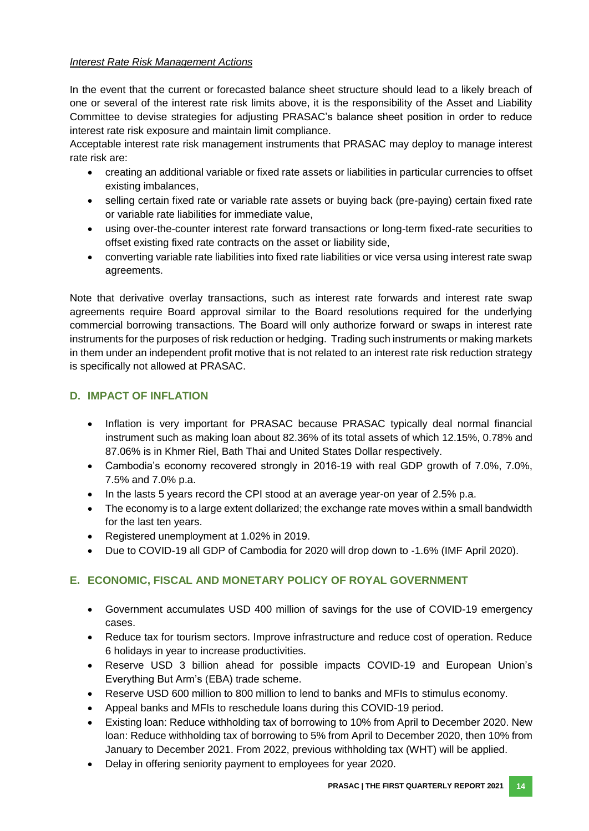#### *Interest Rate Risk Management Actions*

In the event that the current or forecasted balance sheet structure should lead to a likely breach of one or several of the interest rate risk limits above, it is the responsibility of the Asset and Liability Committee to devise strategies for adjusting PRASAC's balance sheet position in order to reduce interest rate risk exposure and maintain limit compliance.

Acceptable interest rate risk management instruments that PRASAC may deploy to manage interest rate risk are:

- creating an additional variable or fixed rate assets or liabilities in particular currencies to offset existing imbalances,
- selling certain fixed rate or variable rate assets or buying back (pre-paying) certain fixed rate or variable rate liabilities for immediate value,
- using over-the-counter interest rate forward transactions or long-term fixed-rate securities to offset existing fixed rate contracts on the asset or liability side,
- converting variable rate liabilities into fixed rate liabilities or vice versa using interest rate swap agreements.

Note that derivative overlay transactions, such as interest rate forwards and interest rate swap agreements require Board approval similar to the Board resolutions required for the underlying commercial borrowing transactions. The Board will only authorize forward or swaps in interest rate instruments for the purposes of risk reduction or hedging. Trading such instruments or making markets in them under an independent profit motive that is not related to an interest rate risk reduction strategy is specifically not allowed at PRASAC.

# <span id="page-20-0"></span>**D. IMPACT OF INFLATION**

- Inflation is very important for PRASAC because PRASAC typically deal normal financial instrument such as making loan about 82.36% of its total assets of which 12.15%, 0.78% and 87.06% is in Khmer Riel, Bath Thai and United States Dollar respectively.
- Cambodia's economy recovered strongly in 2016-19 with real GDP growth of 7.0%, 7.0%, 7.5% and 7.0% p.a.
- In the lasts 5 years record the CPI stood at an average year-on year of 2.5% p.a.
- The economy is to a large extent dollarized; the exchange rate moves within a small bandwidth for the last ten years.
- Registered unemployment at 1.02% in 2019.
- Due to COVID-19 all GDP of Cambodia for 2020 will drop down to -1.6% (IMF April 2020).

# <span id="page-20-1"></span>**E. ECONOMIC, FISCAL AND MONETARY POLICY OF ROYAL GOVERNMENT**

- Government accumulates USD 400 million of savings for the use of COVID-19 emergency cases.
- Reduce tax for tourism sectors. Improve infrastructure and reduce cost of operation. Reduce 6 holidays in year to increase productivities.
- Reserve USD 3 billion ahead for possible impacts COVID-19 and European Union's Everything But Arm's (EBA) trade scheme.
- Reserve USD 600 million to 800 million to lend to banks and MFIs to stimulus economy.
- Appeal banks and MFIs to reschedule loans during this COVID-19 period.
- Existing loan: Reduce withholding tax of borrowing to 10% from April to December 2020. New loan: Reduce withholding tax of borrowing to 5% from April to December 2020, then 10% from January to December 2021. From 2022, previous withholding tax (WHT) will be applied.
- Delay in offering seniority payment to employees for year 2020.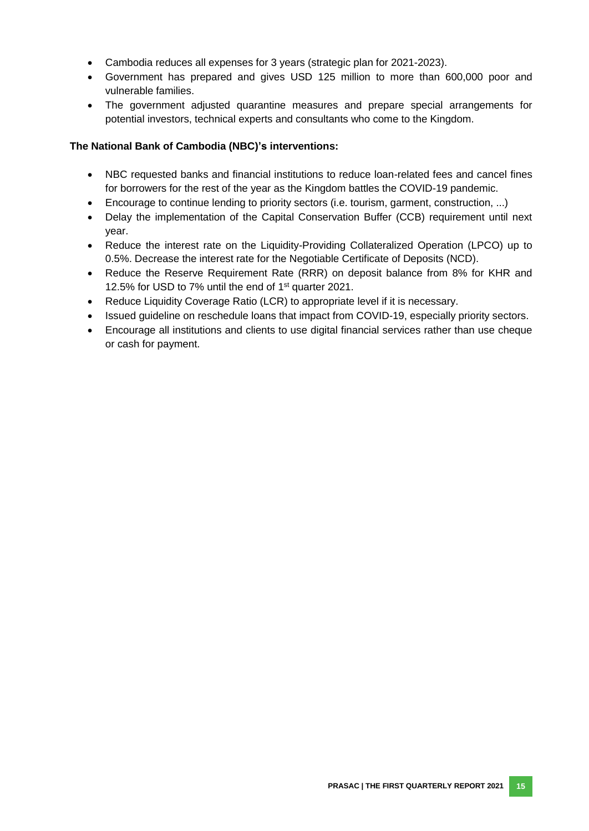- Cambodia reduces all expenses for 3 years (strategic plan for 2021-2023).
- Government has prepared and gives USD 125 million to more than 600,000 poor and vulnerable families.
- The government adjusted quarantine measures and prepare special arrangements for potential investors, technical experts and consultants who come to the Kingdom.

#### **The National Bank of Cambodia (NBC)'s interventions:**

- NBC requested banks and financial institutions to reduce loan-related fees and cancel fines for borrowers for the rest of the year as the Kingdom battles the COVID-19 pandemic.
- Encourage to continue lending to priority sectors (i.e. tourism, garment, construction, ...)
- Delay the implementation of the Capital Conservation Buffer (CCB) requirement until next year.
- Reduce the interest rate on the Liquidity-Providing Collateralized Operation (LPCO) up to 0.5%. Decrease the interest rate for the Negotiable Certificate of Deposits (NCD).
- Reduce the Reserve Requirement Rate (RRR) on deposit balance from 8% for KHR and 12.5% for USD to 7% until the end of 1st quarter 2021.
- Reduce Liquidity Coverage Ratio (LCR) to appropriate level if it is necessary.
- Issued guideline on reschedule loans that impact from COVID-19, especially priority sectors.
- Encourage all institutions and clients to use digital financial services rather than use cheque or cash for payment.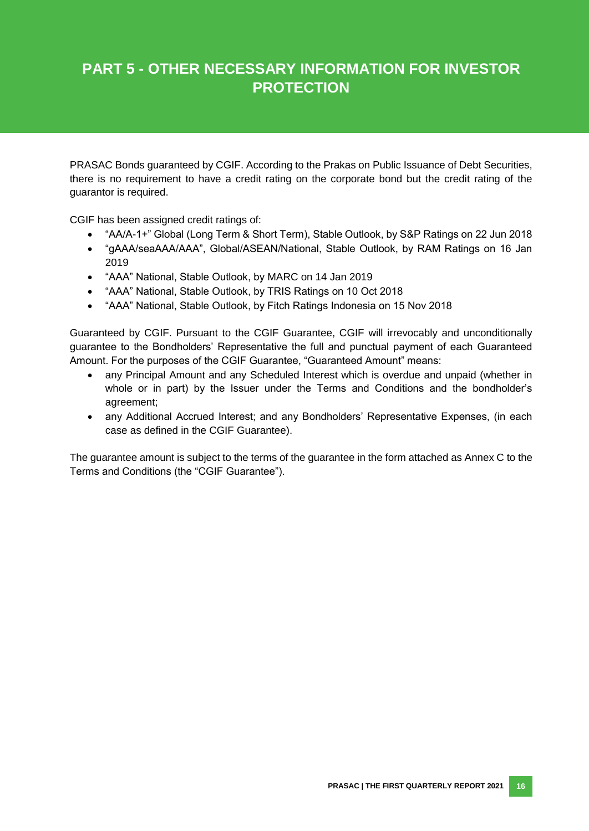# **PART 5 - OTHER NECESSARY INFORMATION FOR INVESTOR PROTECTION**

PRASAC Bonds guaranteed by CGIF. According to the Prakas on Public Issuance of Debt Securities, there is no requirement to have a credit rating on the corporate bond but the credit rating of the guarantor is required.

CGIF has been assigned credit ratings of:

- "AA/A-1+" Global (Long Term & Short Term), Stable Outlook, by S&P Ratings on 22 Jun 2018
- "gAAA/seaAAA/AAA", Global/ASEAN/National, Stable Outlook, by RAM Ratings on 16 Jan 2019
- "AAA" National, Stable Outlook, by MARC on 14 Jan 2019
- "AAA" National, Stable Outlook, by TRIS Ratings on 10 Oct 2018
- "AAA" National, Stable Outlook, by Fitch Ratings Indonesia on 15 Nov 2018

Guaranteed by CGIF. Pursuant to the CGIF Guarantee, CGIF will irrevocably and unconditionally guarantee to the Bondholders' Representative the full and punctual payment of each Guaranteed Amount. For the purposes of the CGIF Guarantee, "Guaranteed Amount" means:

- any Principal Amount and any Scheduled Interest which is overdue and unpaid (whether in whole or in part) by the Issuer under the Terms and Conditions and the bondholder's agreement;
- any Additional Accrued Interest; and any Bondholders' Representative Expenses, (in each case as defined in the CGIF Guarantee).

The guarantee amount is subject to the terms of the guarantee in the form attached as Annex C to the Terms and Conditions (the "CGIF Guarantee").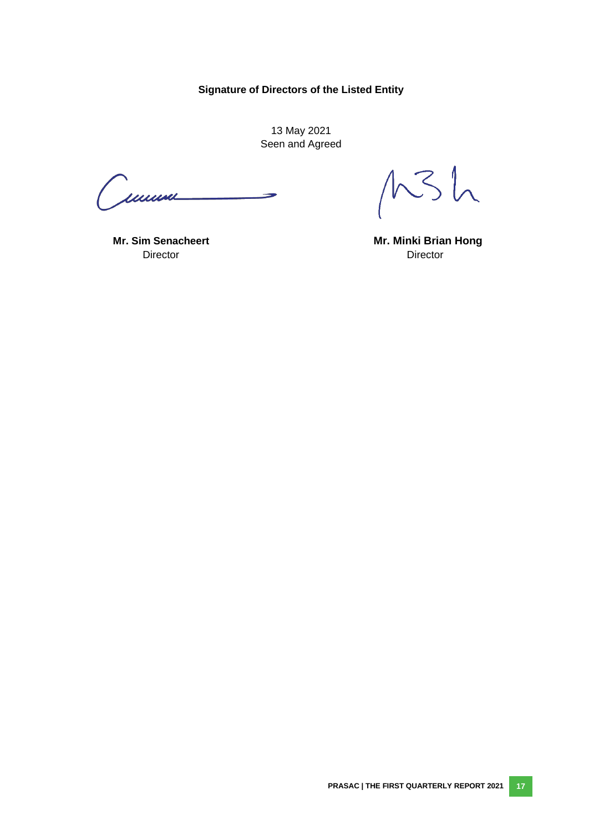# **Signature of Directors of the Listed Entity**

13 May 2021 Seen and Agreed

<span id="page-23-0"></span>Cumm

 $MSh$ 

**Director** Director

 **Mr. Sim Senacheert Mr. Minki Brian Hong**